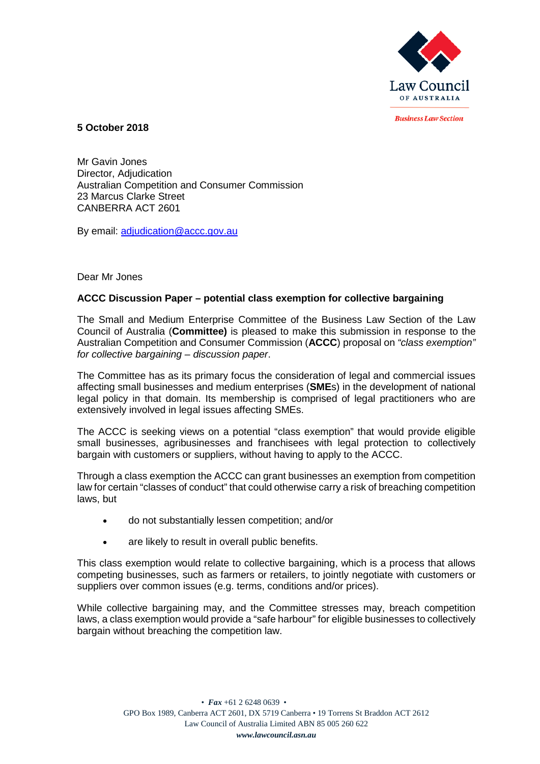

**Rusiness Law Section** 

**5 October 2018**

Mr Gavin Jones Director, Adjudication Australian Competition and Consumer Commission 23 Marcus Clarke Street CANBERRA ACT 2601

By email: adjudication@accc.gov.au

# Dear Mr Jones

# **ACCC Discussion Paper – potential class exemption for collective bargaining**

The Small and Medium Enterprise Committee of the Business Law Section of the Law Council of Australia (**Committee)** is pleased to make this submission in response to the Australian Competition and Consumer Commission (**ACCC**) proposal on *"class exemption" for collective bargaining – discussion paper*.

The Committee has as its primary focus the consideration of legal and commercial issues affecting small businesses and medium enterprises (**SME**s) in the development of national legal policy in that domain. Its membership is comprised of legal practitioners who are extensively involved in legal issues affecting SMEs.

The ACCC is seeking views on a potential "class exemption" that would provide eligible small businesses, agribusinesses and franchisees with legal protection to collectively bargain with customers or suppliers, without having to apply to the ACCC.

Through a class exemption the ACCC can grant businesses an exemption from competition law for certain "classes of conduct" that could otherwise carry a risk of breaching competition laws, but

- do not substantially lessen competition; and/or
- are likely to result in overall public benefits.

This class exemption would relate to collective bargaining, which is a process that allows competing businesses, such as farmers or retailers, to jointly negotiate with customers or suppliers over common issues (e.g. terms, conditions and/or prices).

While collective bargaining may, and the Committee stresses may, breach competition laws, a class exemption would provide a "safe harbour" for eligible businesses to collectively bargain without breaching the competition law.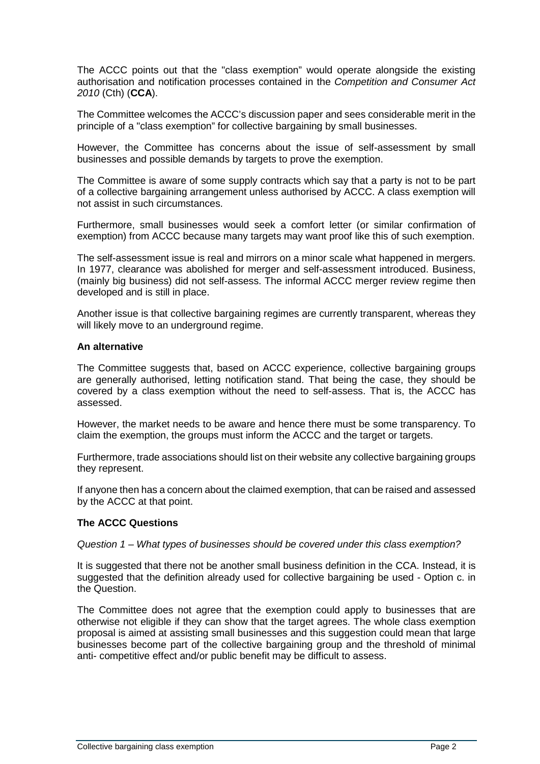The ACCC points out that the "class exemption" would operate alongside the existing authorisation and notification processes contained in the *Competition and Consumer Act 2010* (Cth) (**CCA**).

The Committee welcomes the ACCC's discussion paper and sees considerable merit in the principle of a "class exemption" for collective bargaining by small businesses.

However, the Committee has concerns about the issue of self-assessment by small businesses and possible demands by targets to prove the exemption.

The Committee is aware of some supply contracts which say that a party is not to be part of a collective bargaining arrangement unless authorised by ACCC. A class exemption will not assist in such circumstances.

Furthermore, small businesses would seek a comfort letter (or similar confirmation of exemption) from ACCC because many targets may want proof like this of such exemption.

The self-assessment issue is real and mirrors on a minor scale what happened in mergers. In 1977, clearance was abolished for merger and self-assessment introduced. Business, (mainly big business) did not self-assess. The informal ACCC merger review regime then developed and is still in place.

Another issue is that collective bargaining regimes are currently transparent, whereas they will likely move to an underground regime.

### **An alternative**

The Committee suggests that, based on ACCC experience, collective bargaining groups are generally authorised, letting notification stand. That being the case, they should be covered by a class exemption without the need to self-assess. That is, the ACCC has assessed.

However, the market needs to be aware and hence there must be some transparency. To claim the exemption, the groups must inform the ACCC and the target or targets.

Furthermore, trade associations should list on their website any collective bargaining groups they represent.

If anyone then has a concern about the claimed exemption, that can be raised and assessed by the ACCC at that point.

# **The ACCC Questions**

*Question 1 – What types of businesses should be covered under this class exemption?*

It is suggested that there not be another small business definition in the CCA. Instead, it is suggested that the definition already used for collective bargaining be used - Option c. in the Question.

The Committee does not agree that the exemption could apply to businesses that are otherwise not eligible if they can show that the target agrees. The whole class exemption proposal is aimed at assisting small businesses and this suggestion could mean that large businesses become part of the collective bargaining group and the threshold of minimal anti- competitive effect and/or public benefit may be difficult to assess.